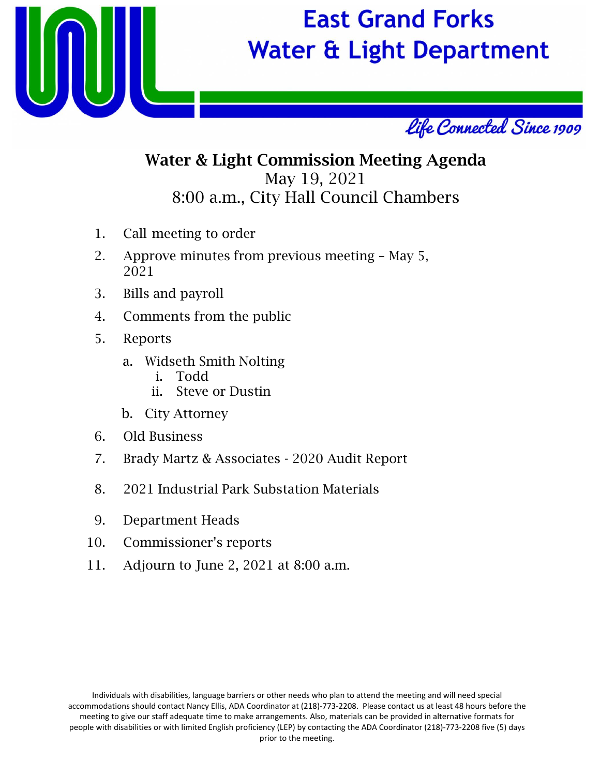

## **East Grand Forks Water & Light Department**



## Water & Light Commission Meeting Agenda May 19, 2021 8:00 a.m., City Hall Council Chambers

- 1. Call meeting to order
- 2. Approve minutes from previous meeting May 5, 2021
- 3. Bills and payroll
- 4. Comments from the public
- 5. Reports
	- a. Widseth Smith Nolting
		- i. Todd
		- ii. Steve or Dustin
	- b. City Attorney
- 6. Old Business
- 7. Brady Martz & Associates 2020 Audit Report
- 8. 2021 Industrial Park Substation Materials
- 9. Department Heads
- 10. Commissioner's reports
- 11. Adjourn to June 2, 2021 at 8:00 a.m.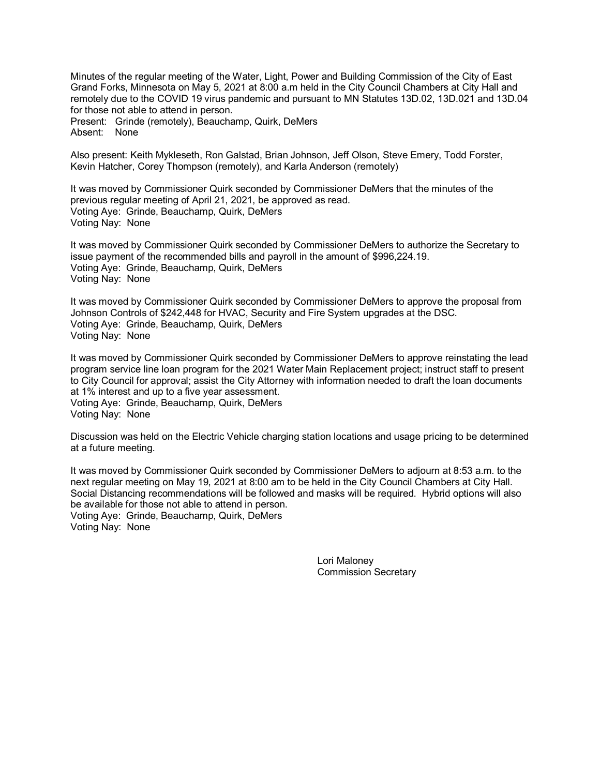Minutes of the regular meeting of the Water, Light, Power and Building Commission of the City of East Grand Forks, Minnesota on May 5, 2021 at 8:00 a.m held in the City Council Chambers at City Hall and remotely due to the COVID 19 virus pandemic and pursuant to MN Statutes 13D.02, 13D.021 and 13D.04 for those not able to attend in person.

Present: Grinde (remotely), Beauchamp, Quirk, DeMers Absent: None

Also present: Keith Mykleseth, Ron Galstad, Brian Johnson, Jeff Olson, Steve Emery, Todd Forster, Kevin Hatcher, Corey Thompson (remotely), and Karla Anderson (remotely)

It was moved by Commissioner Quirk seconded by Commissioner DeMers that the minutes of the previous regular meeting of April 21, 2021, be approved as read. Voting Aye: Grinde, Beauchamp, Quirk, DeMers Voting Nay: None

It was moved by Commissioner Quirk seconded by Commissioner DeMers to authorize the Secretary to issue payment of the recommended bills and payroll in the amount of \$996,224.19. Voting Aye: Grinde, Beauchamp, Quirk, DeMers Voting Nay: None

It was moved by Commissioner Quirk seconded by Commissioner DeMers to approve the proposal from Johnson Controls of \$242,448 for HVAC, Security and Fire System upgrades at the DSC. Voting Aye: Grinde, Beauchamp, Quirk, DeMers Voting Nay: None

It was moved by Commissioner Quirk seconded by Commissioner DeMers to approve reinstating the lead program service line loan program for the 2021 Water Main Replacement project; instruct staff to present to City Council for approval; assist the City Attorney with information needed to draft the loan documents at 1% interest and up to a five year assessment. Voting Aye: Grinde, Beauchamp, Quirk, DeMers Voting Nay: None

Discussion was held on the Electric Vehicle charging station locations and usage pricing to be determined at a future meeting.

It was moved by Commissioner Quirk seconded by Commissioner DeMers to adjourn at 8:53 a.m. to the next regular meeting on May 19, 2021 at 8:00 am to be held in the City Council Chambers at City Hall. Social Distancing recommendations will be followed and masks will be required. Hybrid options will also be available for those not able to attend in person. Voting Aye: Grinde, Beauchamp, Quirk, DeMers Voting Nay: None

> Lori Maloney Commission Secretary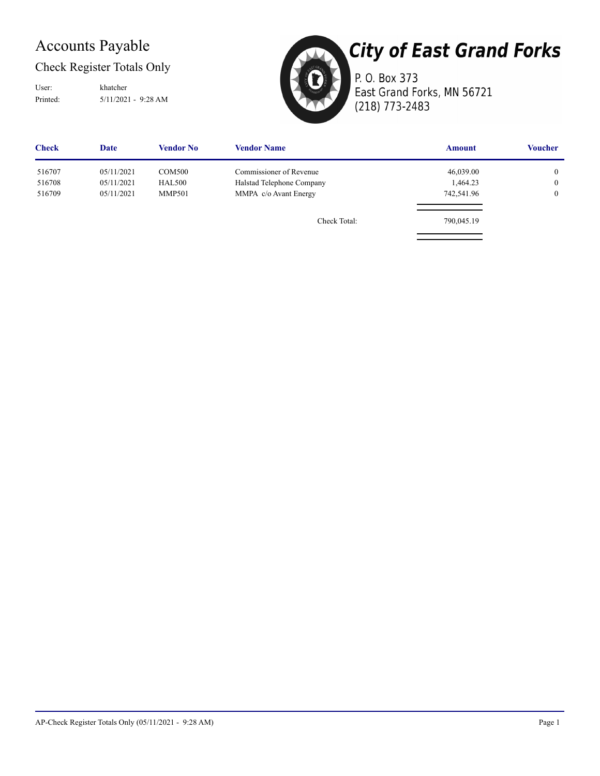## Accounts Payable

#### Check Register Totals Only

Printed: 5/11/2021 - 9:28 AM User: khatcher



**City of East Grand Forks** P. O. Box 373 East Grand Forks, MN 56721

(218) 773-2483

| <b>Check</b> | Date       | <b>Vendor No</b> | <b>Vendor Name</b>        | <b>Amount</b> | <b>Voucher</b> |
|--------------|------------|------------------|---------------------------|---------------|----------------|
| 516707       | 05/11/2021 | <b>COM500</b>    | Commissioner of Revenue   | 46,039.00     | $\overline{0}$ |
| 516708       | 05/11/2021 | <b>HAL500</b>    | Halstad Telephone Company | 1,464.23      | $\overline{0}$ |
| 516709       | 05/11/2021 | <b>MMP501</b>    | MMPA c/o Avant Energy     | 742,541.96    | $\overline{0}$ |
|              |            |                  | Check Total:              | 790,045.19    |                |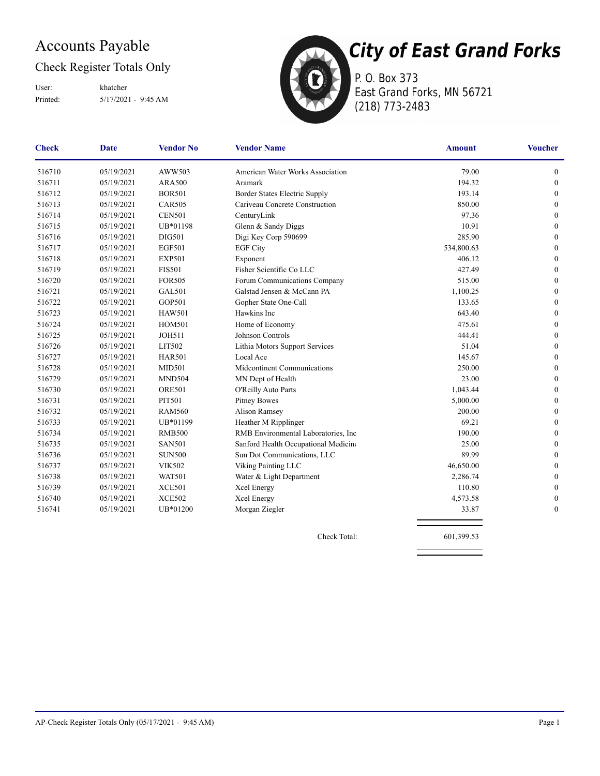## Accounts Payable

#### Check Register Totals Only

Printed: 5/17/2021 - 9:45 AM User: khatcher



P. O. Box 373 East Grand Forks, MN 56721 (218) 773-2483

| <b>Check</b> | Date       | <b>Vendor No</b> | <b>Vendor Name</b>                   | <b>Amount</b> | <b>Voucher</b>   |
|--------------|------------|------------------|--------------------------------------|---------------|------------------|
| 516710       | 05/19/2021 | AWW503           | American Water Works Association     | 79.00         | $\boldsymbol{0}$ |
| 516711       | 05/19/2021 | <b>ARA500</b>    | Aramark                              | 194.32        | $\boldsymbol{0}$ |
| 516712       | 05/19/2021 | <b>BOR501</b>    | Border States Electric Supply        | 193.14        | $\mathbf{0}$     |
| 516713       | 05/19/2021 | <b>CAR505</b>    | Cariveau Concrete Construction       | 850.00        | $\mathbf{0}$     |
| 516714       | 05/19/2021 | <b>CEN501</b>    | CenturyLink                          | 97.36         | $\mathbf{0}$     |
| 516715       | 05/19/2021 | UB*01198         | Glenn & Sandy Diggs                  | 10.91         | $\mathbf{0}$     |
| 516716       | 05/19/2021 | <b>DIG501</b>    | Digi Key Corp 590699                 | 285.90        | $\mathbf{0}$     |
| 516717       | 05/19/2021 | <b>EGF501</b>    | <b>EGF City</b>                      | 534,800.63    | $\mathbf{0}$     |
| 516718       | 05/19/2021 | <b>EXP501</b>    | Exponent                             | 406.12        | $\mathbf{0}$     |
| 516719       | 05/19/2021 | <b>FIS501</b>    | Fisher Scientific Co LLC             | 427.49        | $\boldsymbol{0}$ |
| 516720       | 05/19/2021 | <b>FOR505</b>    | Forum Communications Company         | 515.00        | $\mathbf{0}$     |
| 516721       | 05/19/2021 | <b>GAL501</b>    | Galstad Jensen & McCann PA           | 1,100.25      | $\boldsymbol{0}$ |
| 516722       | 05/19/2021 | GOP501           | Gopher State One-Call                | 133.65        | $\boldsymbol{0}$ |
| 516723       | 05/19/2021 | <b>HAW501</b>    | Hawkins Inc                          | 643.40        | $\mathbf{0}$     |
| 516724       | 05/19/2021 | <b>HOM501</b>    | Home of Economy                      | 475.61        | $\boldsymbol{0}$ |
| 516725       | 05/19/2021 | <b>JOH511</b>    | Johnson Controls                     | 444.41        | $\mathbf{0}$     |
| 516726       | 05/19/2021 | LIT502           | Lithia Motors Support Services       | 51.04         | $\mathbf{0}$     |
| 516727       | 05/19/2021 | <b>HAR501</b>    | Local Ace                            | 145.67        | $\boldsymbol{0}$ |
| 516728       | 05/19/2021 | <b>MID501</b>    | Midcontinent Communications          | 250.00        | $\mathbf{0}$     |
| 516729       | 05/19/2021 | <b>MND504</b>    | MN Dept of Health                    | 23.00         | $\mathbf{0}$     |
| 516730       | 05/19/2021 | <b>ORE501</b>    | O'Reilly Auto Parts                  | 1,043.44      | $\mathbf{0}$     |
| 516731       | 05/19/2021 | <b>PIT501</b>    | <b>Pitney Bowes</b>                  | 5,000.00      | $\mathbf{0}$     |
| 516732       | 05/19/2021 | <b>RAM560</b>    | Alison Ramsey                        | 200.00        | $\mathbf{0}$     |
| 516733       | 05/19/2021 | UB*01199         | Heather M Ripplinger                 | 69.21         | $\mathbf{0}$     |
| 516734       | 05/19/2021 | <b>RMB500</b>    | RMB Environmental Laboratories, Inc. | 190.00        | $\mathbf{0}$     |
| 516735       | 05/19/2021 | <b>SAN501</b>    | Sanford Health Occupational Medicine | 25.00         | $\boldsymbol{0}$ |
| 516736       | 05/19/2021 | <b>SUN500</b>    | Sun Dot Communications, LLC          | 89.99         | $\mathbf{0}$     |
| 516737       | 05/19/2021 | <b>VIK502</b>    | Viking Painting LLC                  | 46,650.00     | $\boldsymbol{0}$ |
| 516738       | 05/19/2021 | <b>WAT501</b>    | Water & Light Department             | 2,286.74      | $\mathbf{0}$     |
| 516739       | 05/19/2021 | <b>XCE501</b>    | Xcel Energy                          | 110.80        | $\mathbf{0}$     |
| 516740       | 05/19/2021 | <b>XCE502</b>    | Xcel Energy                          | 4,573.58      | $\mathbf{0}$     |
| 516741       | 05/19/2021 | UB*01200         | Morgan Ziegler                       | 33.87         | $\mathbf{0}$     |
|              |            |                  |                                      |               |                  |

Check Total: 601,399.53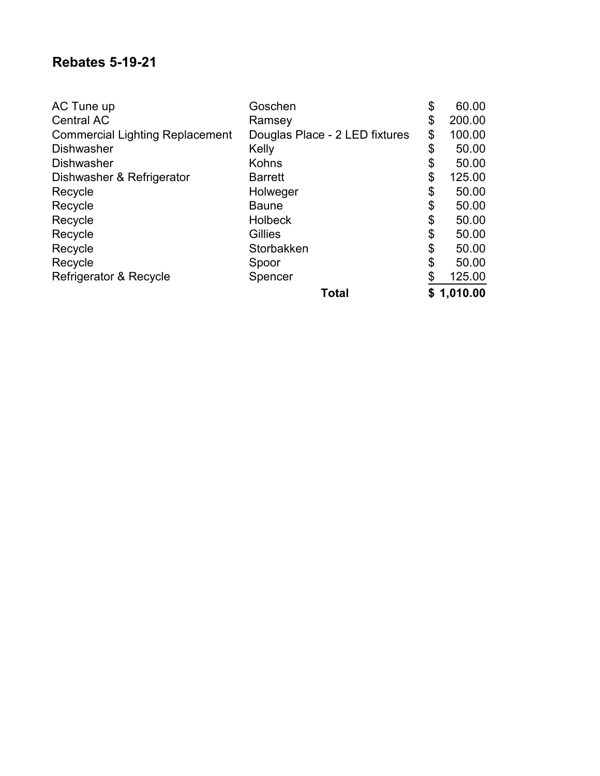#### **Rebates 5-19-21**

| AC Tune up                             | Goschen                        | \$<br>60.00  |
|----------------------------------------|--------------------------------|--------------|
| <b>Central AC</b>                      | Ramsey                         | \$<br>200.00 |
| <b>Commercial Lighting Replacement</b> | Douglas Place - 2 LED fixtures | \$<br>100.00 |
| <b>Dishwasher</b>                      | Kelly                          | \$<br>50.00  |
| <b>Dishwasher</b>                      | <b>Kohns</b>                   | \$<br>50.00  |
| Dishwasher & Refrigerator              | <b>Barrett</b>                 | \$<br>125.00 |
| Recycle                                | Holweger                       | \$<br>50.00  |
| Recycle                                | <b>Baune</b>                   | \$<br>50.00  |
| Recycle                                | <b>Holbeck</b>                 | \$<br>50.00  |
| Recycle                                | Gillies                        | \$<br>50.00  |
| Recycle                                | Storbakken                     | \$<br>50.00  |
| Recycle                                | Spoor                          | \$<br>50.00  |
| Refrigerator & Recycle                 | Spencer                        | \$<br>125.00 |
|                                        | <b>Total</b>                   | \$1,010.00   |